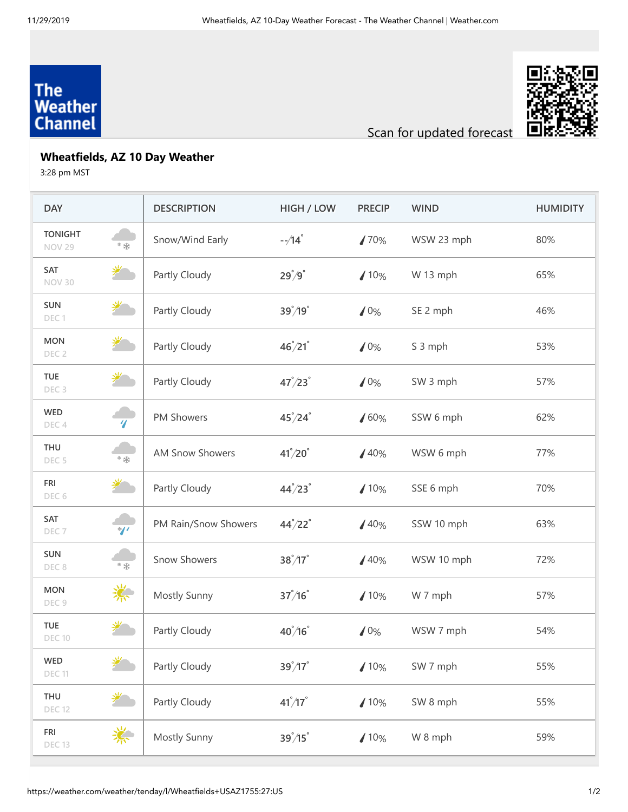## The<br>Weather **Channel**



Scan for updated forecast

## **Wheatfields, AZ 10 Day Weather**

3:28 pm MST

| <b>DAY</b>                      |                             | <b>DESCRIPTION</b>     | HIGH / LOW                  | <b>PRECIP</b> | <b>WIND</b> | <b>HUMIDITY</b> |
|---------------------------------|-----------------------------|------------------------|-----------------------------|---------------|-------------|-----------------|
| <b>TONIGHT</b><br><b>NOV 29</b> | * 米                         | Snow/Wind Early        | $-\frac{1}{4}$              | 170%          | WSW 23 mph  | 80%             |
| <b>SAT</b><br><b>NOV 30</b>     | <del></del>                 | Partly Cloudy          | $29^{\degree}/9^{\degree}$  | 10%           | W 13 mph    | 65%             |
| <b>SUN</b><br>DEC1              | 光                           | Partly Cloudy          | $39^{\degree}/19^{\degree}$ | 10%           | SE 2 mph    | 46%             |
| <b>MON</b><br>DEC <sub>2</sub>  | 学                           | Partly Cloudy          | $46^{\degree}/21^{\degree}$ | 10%           | S 3 mph     | 53%             |
| <b>TUE</b><br>DEC <sub>3</sub>  | 学                           | Partly Cloudy          | $47^{\circ}/23^{\circ}$     | 10%           | SW 3 mph    | 57%             |
| <b>WED</b><br>DEC <sub>4</sub>  | $\overline{\boldsymbol{q}}$ | PM Showers             | $45^{\degree}/24^{\degree}$ | 160%          | SSW 6 mph   | 62%             |
| THU<br>DEC <sub>5</sub>         | * 荣                         | <b>AM Snow Showers</b> | $41^{\degree}/20^{\degree}$ | /40%          | WSW 6 mph   | 77%             |
| <b>FRI</b><br>DEC 6             | 逆                           | Partly Cloudy          | $44^{\circ}/23^{\circ}$     | 10%           | SSE 6 mph   | 70%             |
| SAT<br>DEC <sub>7</sub>         | $\sqrt{\frac{2}{1}}$        | PM Rain/Snow Showers   | $44^{\circ}/22^{\circ}$     | /40%          | SSW 10 mph  | 63%             |
| <b>SUN</b><br>DEC 8             | * 米                         | <b>Snow Showers</b>    | $38^{\degree}/17^{\degree}$ | 40%           | WSW 10 mph  | 72%             |
| <b>MON</b><br>DEC <sub>9</sub>  | 柒                           | Mostly Sunny           | $37^{\degree}/16^{\degree}$ | 10%           | W 7 mph     | 57%             |
| <b>TUE</b><br><b>DEC 10</b>     | 迷                           | Partly Cloudy          | $40^{\degree}/16^{\degree}$ | 10%           | WSW 7 mph   | 54%             |
| WED<br><b>DEC 11</b>            | 挲                           | Partly Cloudy          | $39^{\degree}/17^{\degree}$ | 10%           | SW 7 mph    | 55%             |
| THU<br><b>DEC 12</b>            | 学                           | Partly Cloudy          | $41^{\degree}/17^{\degree}$ | 10%           | SW 8 mph    | 55%             |
| <b>FRI</b><br><b>DEC 13</b>     | 柒                           | Mostly Sunny           | $39^{\circ}/15^{\circ}$     | 10%           | W 8 mph     | 59%             |